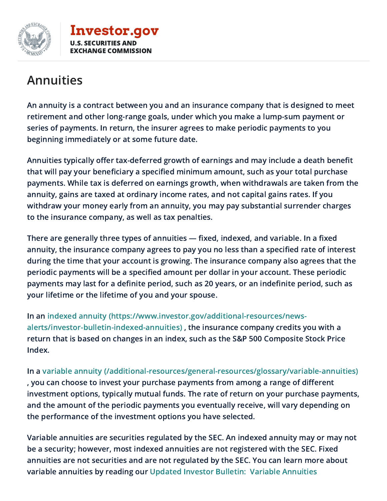

**[Investor.gov](https://www.investor.gov/)** U.S. SECURITIES AND **HANGE COMMISSION** 

## Annuities

An annuity is a contract between you and an insurance company that is designed to meet retirement and other long-range goals, under which you make a lump-sum payment or series of payments. In return, the insurer agrees to make periodic payments to you beginning immediately or at some future date.

Annuities typically offer tax-deferred growth of earnings and may include a death benefit that will pay your beneficiary a specified minimum amount, such as your total purchase payments. While tax is deferred on earnings growth, when withdrawals are taken from the annuity, gains are taxed at ordinary income rates, and not capital gains rates. If you withdraw your money early from an annuity, you may pay substantial surrender charges to the insurance company, as well as tax penalties.

There are generally three types of annuities — fixed, indexed, and variable. In a fixed annuity, the insurance company agrees to pay you no less than a specified rate of interest during the time that your account is growing. The insurance company also agrees that the periodic payments will be a specified amount per dollar in your account. These periodic payments may last for a definite period, such as 20 years, or an indefinite period, such as your lifetime or the lifetime of you and your spouse.

In an indexed annuity [\(https://www.investor.gov/additional-resources/news](https://www.investor.gov/additional-resources/news-alerts/investor-bulletin-indexed-annuities)alerts/investor-bulletin-indexed-annuities) , the insurance company credits you with a return that is based on changes in an index, such as the S&P 500 Composite Stock Price Index.

In a variable annuity [\(/additional-resources/general-resources/glossary/variable-annuities\)](https://www.investor.gov/additional-resources/general-resources/glossary/variable-annuities) , you can choose to invest your purchase payments from among a range of different investment options, typically mutual funds. The rate of return on your purchase payments, and the amount of the periodic payments you eventually receive, will vary depending on the performance of the investment options you have selected.

Variable annuities are securities regulated by the SEC. An indexed annuity may or may not be a security; however, most indexed annuities are not registered with the SEC. Fixed annuities are not securities and are not regulated by the SEC. You can learn more about variable annuities by reading our Updated Investor Bulletin: Variable [Annuities](https://www.investor.gov/additional-resources/news-alerts/alerts-bulletins/updated-investor-bulletin-variable-annuities)